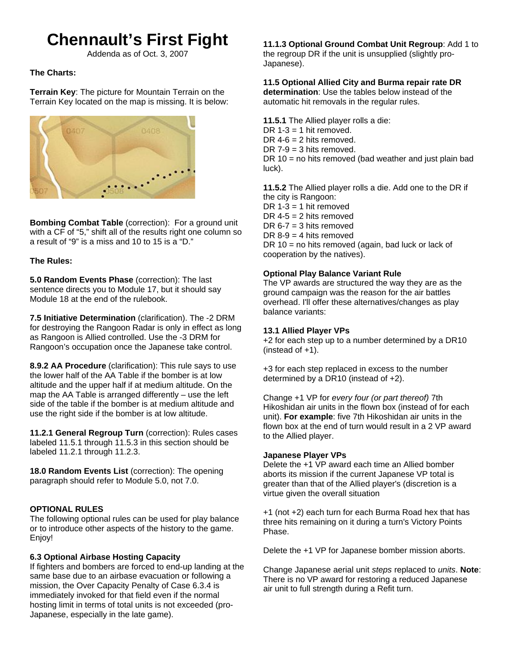# **Chennault's First Fight**

Addenda as of Oct. 3, 2007

# **The Charts:**

**Terrain Key**: The picture for Mountain Terrain on the Terrain Key located on the map is missing. It is below:



**Bombing Combat Table** (correction): For a ground unit with a CF of "5," shift all of the results right one column so a result of "9" is a miss and 10 to 15 is a "D."

## **The Rules:**

**5.0 Random Events Phase** (correction): The last sentence directs you to Module 17, but it should say Module 18 at the end of the rulebook.

**7.5 Initiative Determination** (clarification). The -2 DRM for destroying the Rangoon Radar is only in effect as long as Rangoon is Allied controlled. Use the -3 DRM for Rangoon's occupation once the Japanese take control.

**8.9.2 AA Procedure** (clarification): This rule says to use the lower half of the AA Table if the bomber is at low altitude and the upper half if at medium altitude. On the map the AA Table is arranged differently – use the left side of the table if the bomber is at medium altitude and use the right side if the bomber is at low altitude.

**11.2.1 General Regroup Turn** (correction): Rules cases labeled 11.5.1 through 11.5.3 in this section should be labeled 11.2.1 through 11.2.3.

**18.0 Random Events List** (correction): The opening paragraph should refer to Module 5.0, not 7.0.

# **OPTIONAL RULES**

The following optional rules can be used for play balance or to introduce other aspects of the history to the game. Enjoy!

## **6.3 Optional Airbase Hosting Capacity**

If fighters and bombers are forced to end-up landing at the same base due to an airbase evacuation or following a mission, the Over Capacity Penalty of Case 6.3.4 is immediately invoked for that field even if the normal hosting limit in terms of total units is not exceeded (pro-Japanese, especially in the late game).

**11.1.3 Optional Ground Combat Unit Regroup**: Add 1 to the regroup DR if the unit is unsupplied (slightly pro-Japanese).

# **11.5 Optional Allied City and Burma repair rate DR**

**determination**: Use the tables below instead of the automatic hit removals in the regular rules.

**11.5.1** The Allied player rolls a die: DR  $1-3 = 1$  hit removed. DR  $4-6 = 2$  hits removed. DR  $7-9 = 3$  hits removed. DR  $10 =$  no hits removed (bad weather and just plain bad luck).

**11.5.2** The Allied player rolls a die. Add one to the DR if the city is Rangoon: DR  $1-3 = 1$  hit removed DR  $4-5 = 2$  hits removed DR  $6-7 = 3$  hits removed DR  $8-9 = 4$  hits removed DR 10 = no hits removed (again, bad luck or lack of cooperation by the natives).

## **Optional Play Balance Variant Rule**

The VP awards are structured the way they are as the ground campaign was the reason for the air battles overhead. I'll offer these alternatives/changes as play balance variants:

## **13.1 Allied Player VPs**

+2 for each step up to a number determined by a DR10 (instead of +1).

+3 for each step replaced in excess to the number determined by a DR10 (instead of +2).

Change +1 VP for *every four (or part thereof)* 7th Hikoshidan air units in the flown box (instead of for each unit). **For example**: five 7th Hikoshidan air units in the flown box at the end of turn would result in a 2 VP award to the Allied player.

## **Japanese Player VPs**

Delete the +1 VP award each time an Allied bomber aborts its mission if the current Japanese VP total is greater than that of the Allied player's (discretion is a virtue given the overall situation

+1 (not +2) each turn for each Burma Road hex that has three hits remaining on it during a turn's Victory Points Phase.

Delete the +1 VP for Japanese bomber mission aborts.

Change Japanese aerial unit *steps* replaced to *units*. **Note**: There is no VP award for restoring a reduced Japanese air unit to full strength during a Refit turn.